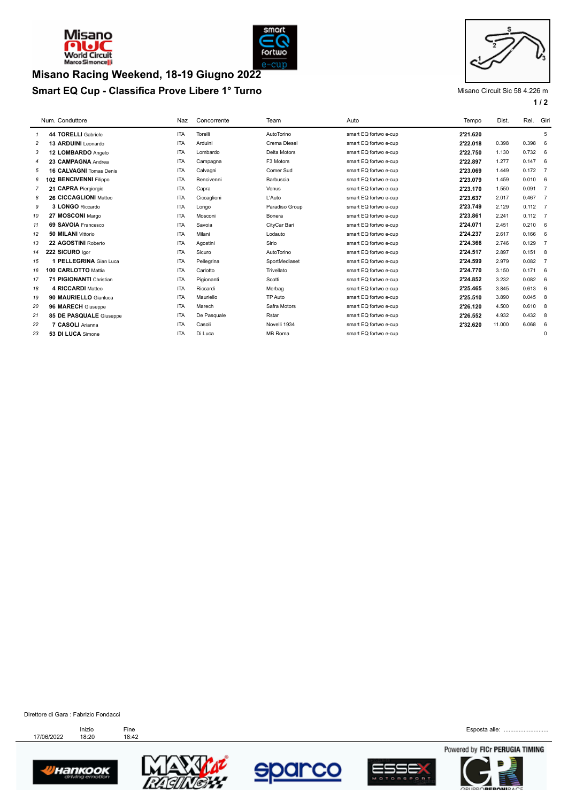



## **Smart EQ Cup - Classifica Prove Libere 1° Turno** Misano Circuit Sic 58 4.226 m **Misano Racing Weekend, 18-19 Giugno 2022**



**1 / 2**

|    | Num. Conduttore                | Naz        | Concorrente | Team           | Auto                  | Tempo    | Dist.  | Rel.      | Giri           |
|----|--------------------------------|------------|-------------|----------------|-----------------------|----------|--------|-----------|----------------|
| 1  | 44 TORELLI Gabriele            | <b>ITA</b> | Torelli     | AutoTorino     | smart EQ fortwo e-cup | 2'21.620 |        |           | 5              |
| 2  | 13 ARDUINI Leonardo            | <b>ITA</b> | Arduini     | Crema Diesel   | smart EQ fortwo e-cup | 2'22.018 | 0.398  | 0.398     | 6              |
| 3  | 12 LOMBARDO Angelo             | <b>ITA</b> | Lombardo    | Delta Motors   | smart EQ fortwo e-cup | 2'22.750 | 1.130  | 0.732     | 6              |
| 4  | 23 CAMPAGNA Andrea             | <b>ITA</b> | Campagna    | F3 Motors      | smart EQ fortwo e-cup | 2'22.897 | 1.277  | 0.147     | 6              |
| 5  | <b>16 CALVAGNI Tomas Denis</b> | <b>ITA</b> | Calvagni    | Comer Sud      | smart EQ fortwo e-cup | 2'23.069 | 1.449  | 0.172     | $\overline{7}$ |
| 6  | 102 BENCIVENNI Filippo         | <b>ITA</b> | Bencivenni  | Barbuscia      | smart EQ fortwo e-cup | 2'23.079 | 1.459  | 0.010     | 6              |
| 7  | 21 CAPRA Piergiorgio           | <b>ITA</b> | Capra       | Venus          | smart EQ fortwo e-cup | 2'23.170 | 1.550  | 0.091     | $\overline{7}$ |
| 8  | 26 CICCAGLIONI Matteo          | <b>ITA</b> | Ciccaglioni | L'Auto         | smart EQ fortwo e-cup | 2'23.637 | 2.017  | 0.467     | $\overline{7}$ |
| 9  | 3 LONGO Riccardo               | <b>ITA</b> | Longo       | Paradiso Group | smart EQ fortwo e-cup | 2'23.749 | 2.129  | $0.112$ 7 |                |
| 10 | 27 MOSCONI Margo               | <b>ITA</b> | Mosconi     | Bonera         | smart EQ fortwo e-cup | 2'23.861 | 2.241  | 0.112     | $\overline{7}$ |
| 11 | 69 SAVOIA Francesco            | <b>ITA</b> | Savoia      | CityCar Bari   | smart EQ fortwo e-cup | 2'24.071 | 2.451  | 0.210     | 6              |
| 12 | 50 MILANI Vittorio             | <b>ITA</b> | Milani      | Lodauto        | smart EQ fortwo e-cup | 2'24.237 | 2.617  | 0.166     | 6              |
| 13 | 22 AGOSTINI Roberto            | <b>ITA</b> | Agostini    | Sirlo          | smart EQ fortwo e-cup | 2'24.366 | 2.746  | 0.129     | $\overline{7}$ |
| 14 | 222 SICURO laor                | <b>ITA</b> | Sicuro      | AutoTorino     | smart EQ fortwo e-cup | 2'24.517 | 2.897  | 0.151     | -8             |
| 15 | 1 PELLEGRINA Gian Luca         | <b>ITA</b> | Pellegrina  | SportMediaset  | smart EQ fortwo e-cup | 2'24.599 | 2.979  | 0.082     | $\overline{7}$ |
| 16 | 100 CARLOTTO Mattia            | <b>ITA</b> | Carlotto    | Trivellato     | smart EQ fortwo e-cup | 2'24.770 | 3.150  | 0.171     | 6              |
| 17 | 71 PIGIONANTI Christian        | <b>ITA</b> | Pigionanti  | Scotti         | smart EQ fortwo e-cup | 2'24.852 | 3.232  | 0.082     | 6              |
| 18 | 4 RICCARDI Matteo              | <b>ITA</b> | Riccardi    | Merbag         | smart EQ fortwo e-cup | 2'25.465 | 3.845  | 0.613     | 6              |
| 19 | 90 MAURIELLO Gianluca          | <b>ITA</b> | Mauriello   | TP Auto        | smart EQ fortwo e-cup | 2'25.510 | 3.890  | 0.045     | 8              |
| 20 | 96 MARECH Giuseppe             | <b>ITA</b> | Marech      | Safra Motors   | smart EQ fortwo e-cup | 2'26.120 | 4.500  | 0.610     | 8              |
| 21 | 85 DE PASQUALE Giuseppe        | <b>ITA</b> | De Pasquale | Rstar          | smart EQ fortwo e-cup | 2'26.552 | 4.932  | 0.432     | -8             |
| 22 | 7 CASOLI Arianna               | <b>ITA</b> | Casoli      | Novelli 1934   | smart EQ fortwo e-cup | 2'32.620 | 11.000 | 6.068     | 6              |
| 23 | 53 DI LUCA Simone              | <b>ITA</b> | Di Luca     | MB Roma        | smart EQ fortwo e-cup |          |        |           | $^{\circ}$     |
|    |                                |            |             |                |                       |          |        |           |                |

Direttore di Gara : Fabrizio Fondacci











Esposta alle: ......